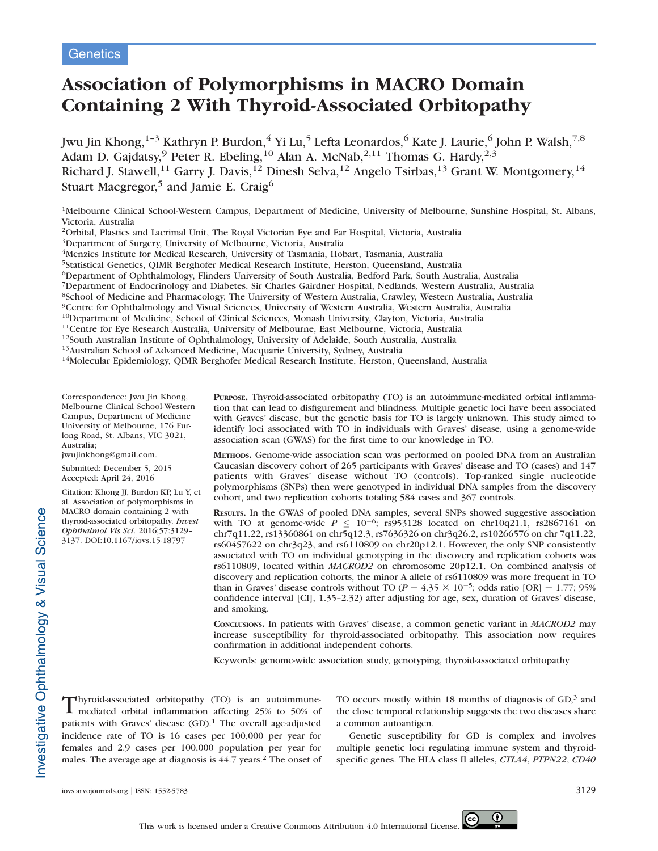# **Genetics**

# Association of Polymorphisms in MACRO Domain Containing 2 With Thyroid-Associated Orbitopathy

Jwu Jin Khong,  $^{1-3}$  Kathryn P. Burdon,  $^4$  Yi Lu,  $^5$  Lefta Leonardos,  $^6$  Kate J. Laurie,  $^6$  John P. Walsh,  $^{7,8}$ Adam D. Gajdatsy,<sup>9</sup> Peter R. Ebeling,<sup>10</sup> Alan A. McNab,<sup>2,11</sup> Thomas G. Hardy,<sup>2,3</sup> Richard J. Stawell, $^{11}$  Garry J. Davis, $^{12}$  Dinesh Selva, $^{12}$  Angelo Tsirbas, $^{13}$  Grant W. Montgomery, $^{14}$ Stuart Macgregor,<sup>5</sup> and Jamie E. Craig<sup>6</sup>

<sup>1</sup>Melbourne Clinical School-Western Campus, Department of Medicine, University of Melbourne, Sunshine Hospital, St. Albans, Victoria, Australia

2Orbital, Plastics and Lacrimal Unit, The Royal Victorian Eye and Ear Hospital, Victoria, Australia

3Department of Surgery, University of Melbourne, Victoria, Australia

<sup>4</sup>Menzies Institute for Medical Research, University of Tasmania, Hobart, Tasmania, Australia

5Statistical Genetics, QIMR Berghofer Medical Research Institute, Herston, Queensland, Australia

6Department of Ophthalmology, Flinders University of South Australia, Bedford Park, South Australia, Australia

7Department of Endocrinology and Diabetes, Sir Charles Gairdner Hospital, Nedlands, Western Australia, Australia

8School of Medicine and Pharmacology, The University of Western Australia, Crawley, Western Australia, Australia

<sup>9</sup>Centre for Ophthalmology and Visual Sciences, University of Western Australia, Western Australia, Australia<br><sup>10</sup>Department of Medicine, School of Clinical Sciences, Monash University, Clayton, Victoria, Australia

<sup>11</sup>Centre for Eye Research Australia, University of Melbourne, East Melbourne, Victoria, Australia<br><sup>12</sup>South Australian Institute of Ophthalmology, University of Adelaide, South Australia, Australia<br><sup>13</sup>Australian School

Correspondence: Jwu Jin Khong, Melbourne Clinical School-Western Campus, Department of Medicine University of Melbourne, 176 Furlong Road, St. Albans, VIC 3021, Australia;

jwujinkhong@gmail.com.

Submitted: December 5, 2015 Accepted: April 24, 2016

Citation: Khong JJ, Burdon KP, Lu Y, et al. Association of polymorphisms in MACRO domain containing 2 with thyroid-associated orbitopathy. Invest Ophthalmol Vis Sci. 2016;57:3129– 3137. DOI:10.1167/iovs.15-18797

PURPOSE. Thyroid-associated orbitopathy (TO) is an autoimmune-mediated orbital inflammation that can lead to disfigurement and blindness. Multiple genetic loci have been associated with Graves' disease, but the genetic basis for TO is largely unknown. This study aimed to identify loci associated with TO in individuals with Graves' disease, using a genome-wide association scan (GWAS) for the first time to our knowledge in TO.

METHODS. Genome-wide association scan was performed on pooled DNA from an Australian Caucasian discovery cohort of 265 participants with Graves' disease and TO (cases) and 147 patients with Graves' disease without TO (controls). Top-ranked single nucleotide polymorphisms (SNPs) then were genotyped in individual DNA samples from the discovery cohort, and two replication cohorts totaling 584 cases and 367 controls.

RESULTS. In the GWAS of pooled DNA samples, several SNPs showed suggestive association with TO at genome-wide  $P \leq 10^{-6}$ ; rs953128 located on chr10q21.1, rs2867161 on chr7q11.22, rs13360861 on chr5q12.3, rs7636326 on chr3q26.2, rs10266576 on chr 7q11.22, rs60457622 on chr3q23, and rs6110809 on chr20p12.1. However, the only SNP consistently associated with TO on individual genotyping in the discovery and replication cohorts was rs6110809, located within MACROD2 on chromosome 20p12.1. On combined analysis of discovery and replication cohorts, the minor A allele of rs6110809 was more frequent in TO than in Graves' disease controls without TO ( $P = 4.35 \times 10^{-5}$ ; odds ratio [OR] = 1.77; 95% confidence interval [CI], 1.35–2.32) after adjusting for age, sex, duration of Graves' disease, and smoking.

CONCLUSIONS. In patients with Graves' disease, a common genetic variant in MACROD2 may increase susceptibility for thyroid-associated orbitopathy. This association now requires confirmation in additional independent cohorts.

Keywords: genome-wide association study, genotyping, thyroid-associated orbitopathy

Thyroid-associated orbitopathy (TO) is an autoimmune-<br>mediated orbital inflammation affecting 25% to 50% of mediated orbital inflammation affecting 25% to 50% of patients with Graves' disease (GD).<sup>1</sup> The overall age-adjusted incidence rate of TO is 16 cases per 100,000 per year for females and 2.9 cases per 100,000 population per year for males. The average age at diagnosis is 44.7 years.<sup>2</sup> The onset of

TO occurs mostly within 18 months of diagnosis of GD,<sup>3</sup> and the close temporal relationship suggests the two diseases share a common autoantigen.

Genetic susceptibility for GD is complex and involves multiple genetic loci regulating immune system and thyroidspecific genes. The HLA class II alleles, CTLA4, PTPN22, CD40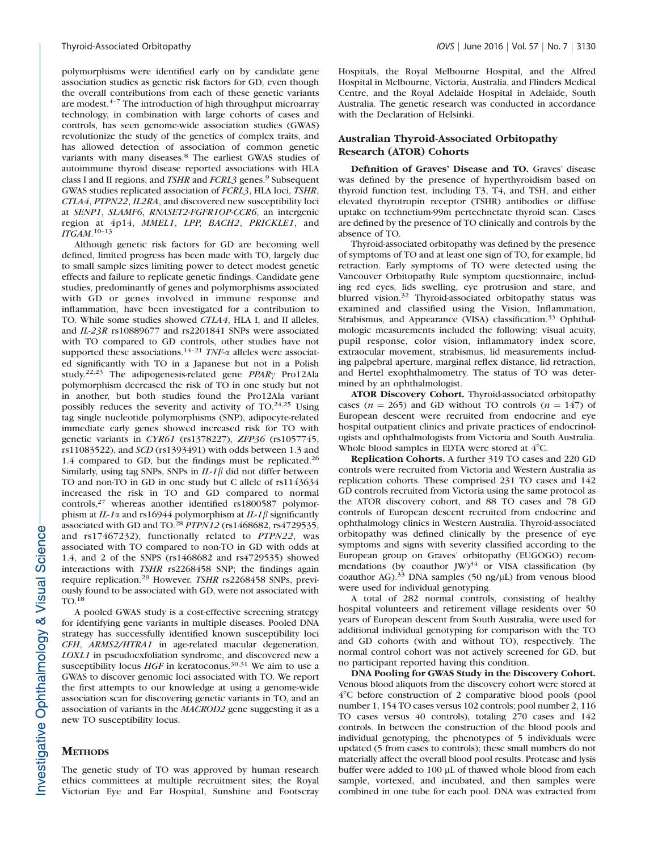polymorphisms were identified early on by candidate gene association studies as genetic risk factors for GD, even though the overall contributions from each of these genetic variants are modest. $4-7$  The introduction of high throughput microarray technology, in combination with large cohorts of cases and controls, has seen genome-wide association studies (GWAS) revolutionize the study of the genetics of complex traits, and has allowed detection of association of common genetic variants with many diseases.<sup>8</sup> The earliest GWAS studies of autoimmune thyroid disease reported associations with HLA class I and II regions, and *TSHR* and *FCRL3* genes.<sup>9</sup> Subsequent GWAS studies replicated association of FCRL3, HLA loci, TSHR, CTLA4, PTPN22, IL2RA, and discovered new susceptibility loci at SENP1, SLAMF6, RNASET2-FGFR1OP-CCR6, an intergenic region at 4p14, MMEL1, LPP, BACH2, PRICKLE1, and ITGAM. 10–13

Although genetic risk factors for GD are becoming well defined, limited progress has been made with TO, largely due to small sample sizes limiting power to detect modest genetic effects and failure to replicate genetic findings. Candidate gene studies, predominantly of genes and polymorphisms associated with GD or genes involved in immune response and inflammation, have been investigated for a contribution to TO. While some studies showed CTLA4, HLA I, and II alleles, and IL-23R rs10889677 and rs2201841 SNPs were associated with TO compared to GD controls, other studies have not supported these associations.<sup>14-21</sup> TNF- $\alpha$  alleles were associated significantly with TO in a Japanese but not in a Polish study.<sup>22,23</sup> The adipogenesis-related gene  $PPAR\gamma$  Pro12Ala polymorphism decreased the risk of TO in one study but not in another, but both studies found the Pro12Ala variant possibly reduces the severity and activity of  $TO.<sup>24,25</sup>$  Using tag single nucleotide polymorphisms (SNP), adipocyte-related immediate early genes showed increased risk for TO with genetic variants in CYR61 (rs1378227), ZFP36 (rs1057745, rs11083522), and SCD (rs1393491) with odds between 1.3 and 1.4 compared to GD, but the findings must be replicated.<sup>26</sup> Similarly, using tag SNPs, SNPs in  $IL-1\beta$  did not differ between TO and non-TO in GD in one study but C allele of rs1143634 increased the risk in TO and GD compared to normal controls,<sup>27</sup> whereas another identified rs1800587 polymorphism at IL-1 $\alpha$  and rs16944 polymorphism at IL-1 $\beta$  significantly associated with GD and TO.<sup>28</sup> PTPN12 (rs1468682, rs4729535, and rs17467232), functionally related to PTPN22, was associated with TO compared to non-TO in GD with odds at 1.4, and 2 of the SNPS (rs1468682 and rs4729535) showed interactions with TSHR rs2268458 SNP; the findings again require replication.<sup>29</sup> However, TSHR rs2268458 SNPs, previously found to be associated with GD, were not associated with TO.18

A pooled GWAS study is a cost-effective screening strategy for identifying gene variants in multiple diseases. Pooled DNA strategy has successfully identified known susceptibility loci CFH, ARMS2/HTRA1 in age-related macular degeneration, LOXL1 in pseudoexfoliation syndrome, and discovered new a susceptibility locus  $HGF$  in keratoconus.<sup>30,31</sup> We aim to use a GWAS to discover genomic loci associated with TO. We report the first attempts to our knowledge at using a genome-wide association scan for discovering genetic variants in TO, and an association of variants in the MACROD2 gene suggesting it as a new TO susceptibility locus.

#### **METHODS**

The genetic study of TO was approved by human research ethics committees at multiple recruitment sites; the Royal Victorian Eye and Ear Hospital, Sunshine and Footscray Hospitals, the Royal Melbourne Hospital, and the Alfred Hospital in Melbourne, Victoria, Australia, and Flinders Medical Centre, and the Royal Adelaide Hospital in Adelaide, South Australia. The genetic research was conducted in accordance with the Declaration of Helsinki.

## Australian Thyroid-Associated Orbitopathy Research (ATOR) Cohorts

Definition of Graves' Disease and TO. Graves' disease was defined by the presence of hyperthyroidism based on thyroid function test, including T3, T4, and TSH, and either elevated thyrotropin receptor (TSHR) antibodies or diffuse uptake on technetium-99m pertechnetate thyroid scan. Cases are defined by the presence of TO clinically and controls by the absence of TO.

Thyroid-associated orbitopathy was defined by the presence of symptoms of TO and at least one sign of TO, for example, lid retraction. Early symptoms of TO were detected using the Vancouver Orbitopathy Rule symptom questionnaire, including red eyes, lids swelling, eye protrusion and stare, and blurred vision.<sup>32</sup> Thyroid-associated orbitopathy status was examined and classified using the Vision, Inflammation, Strabismus, and Appearance (VISA) classification.<sup>33</sup> Ophthalmologic measurements included the following: visual acuity, pupil response, color vision, inflammatory index score, extraocular movement, strabismus, lid measurements including palpebral aperture, marginal reflex distance, lid retraction, and Hertel exophthalmometry. The status of TO was determined by an ophthalmologist.

ATOR Discovery Cohort. Thyroid-associated orbitopathy cases ( $n = 265$ ) and GD without TO controls ( $n = 147$ ) of European descent were recruited from endocrine and eye hospital outpatient clinics and private practices of endocrinologists and ophthalmologists from Victoria and South Australia. Whole blood samples in EDTA were stored at  $4^{\circ}$ C.

Replication Cohorts. A further 319 TO cases and 220 GD controls were recruited from Victoria and Western Australia as replication cohorts. These comprised 231 TO cases and 142 GD controls recruited from Victoria using the same protocol as the ATOR discovery cohort, and 88 TO cases and 78 GD controls of European descent recruited from endocrine and ophthalmology clinics in Western Australia. Thyroid-associated orbitopathy was defined clinically by the presence of eye symptoms and signs with severity classified according to the European group on Graves' orbitopathy (EUGOGO) recommendations (by coauthor JW)<sup>34</sup> or VISA classification (by coauthor AG). $33$  DNA samples (50 ng/ $\mu$ L) from venous blood were used for individual genotyping.

A total of 282 normal controls, consisting of healthy hospital volunteers and retirement village residents over 50 years of European descent from South Australia, were used for additional individual genotyping for comparison with the TO and GD cohorts (with and without TO), respectively. The normal control cohort was not actively screened for GD, but no participant reported having this condition.

DNA Pooling for GWAS Study in the Discovery Cohort. Venous blood aliquots from the discovery cohort were stored at 48C before construction of 2 comparative blood pools (pool number 1, 154 TO cases versus 102 controls; pool number 2, 116 TO cases versus 40 controls), totaling 270 cases and 142 controls. In between the construction of the blood pools and individual genotyping, the phenotypes of 5 individuals were updated (5 from cases to controls); these small numbers do not materially affect the overall blood pool results. Protease and lysis buffer were added to  $100 \mu$ L of thawed whole blood from each sample, vortexed, and incubated, and then samples were combined in one tube for each pool. DNA was extracted from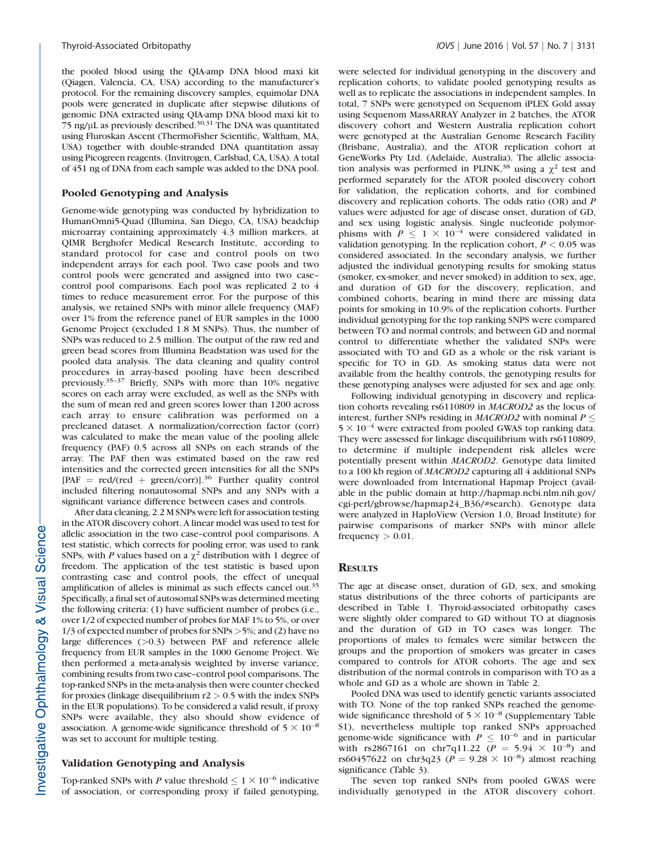the pooled blood using the QIA-amp DNA blood maxi kit (Qiagen, Valencia, CA, USA) according to the manufacturer's protocol. For the remaining discovery samples, equimolar DNA pools were generated in duplicate after stepwise dilutions of genomic DNA extracted using QIA-amp DNA blood maxi kit to 75 ng/ $\mu$ L as previously described.<sup>30,31</sup> The DNA was quantitated using Fluroskan Ascent (ThermoFisher Scientific, Waltham, MA, USA) together with double-stranded DNA quantitation assay using Picogreen reagents. (Invitrogen, Carlsbad, CA, USA). A total of 451 ng of DNA from each sample was added to the DNA pool.

#### Pooled Genotyping and Analysis

Genome-wide genotyping was conducted by hybridization to HumanOmni5-Quad (Illumina, San Diego, CA, USA) beadchip microarray containing approximately 4.3 million markers, at QIMR Berghofer Medical Research Institute, according to standard protocol for case and control pools on two independent arrays for each pool. Two case pools and two control pools were generated and assigned into two case– control pool comparisons. Each pool was replicated 2 to 4 times to reduce measurement error. For the purpose of this analysis, we retained SNPs with minor allele frequency (MAF) over 1% from the reference panel of EUR samples in the 1000 Genome Project (excluded 1.8 M SNPs). Thus, the number of SNPs was reduced to 2.5 million. The output of the raw red and green bead scores from Illumina Beadstation was used for the pooled data analysis. The data cleaning and quality control procedures in array-based pooling have been described previously.35–37 Briefly, SNPs with more than 10% negative scores on each array were excluded, as well as the SNPs with the sum of mean red and green scores lower than 1200 across each array to ensure calibration was performed on a precleaned dataset. A normalization/correction factor (corr) was calculated to make the mean value of the pooling allele frequency (PAF) 0.5 across all SNPs on each strands of the array. The PAF then was estimated based on the raw red intensities and the corrected green intensities for all the SNPs  $[PAF = red/(red + green/corr)]^{36}$  Further quality control included filtering nonautosomal SNPs and any SNPs with a significant variance difference between cases and controls.

After data cleaning, 2.2 M SNPs were left for association testing in the ATOR discovery cohort. A linear model was used to test for allelic association in the two case–control pool comparisons. A test statistic, which corrects for pooling error, was used to rank SNPs, with P values based on a  $\chi^2$  distribution with 1 degree of freedom. The application of the test statistic is based upon contrasting case and control pools, the effect of unequal amplification of alleles is minimal as such effects cancel out.35 Specifically, a final set of autosomal SNPs was determined meeting the following criteria: (1) have sufficient number of probes (i.e., over 1/2 of expected number of probes for MAF 1% to 5%, or over 1/3 of expected number of probes for SNPs >5%; and (2) have no large differences (>0.3) between PAF and reference allele frequency from EUR samples in the 1000 Genome Project. We then performed a meta-analysis weighted by inverse variance, combining results from two case–control pool comparisons. The top-ranked SNPs in the meta-analysis then were counter checked for proxies (linkage disequilibrium  $r2 > 0.5$  with the index SNPs in the EUR populations). To be considered a valid result, if proxy SNPs were available, they also should show evidence of association. A genome-wide significance threshold of  $5 \times 10^{-8}$ was set to account for multiple testing.

## Validation Genotyping and Analysis

Top-ranked SNPs with P value threshold  $\leq 1 \times 10^{-6}$  indicative of association, or corresponding proxy if failed genotyping, were selected for individual genotyping in the discovery and replication cohorts, to validate pooled genotyping results as well as to replicate the associations in independent samples. In total, 7 SNPs were genotyped on Sequenom iPLEX Gold assay using Sequenom MassARRAY Analyzer in 2 batches, the ATOR discovery cohort and Western Australia replication cohort were genotyped at the Australian Genome Research Facility (Brisbane, Australia), and the ATOR replication cohort at GeneWorks Pty Ltd. (Adelaide, Australia). The allelic association analysis was performed in PLINK,<sup>38</sup> using a  $\chi^2$  test and performed separately for the ATOR pooled discovery cohort for validation, the replication cohorts, and for combined discovery and replication cohorts. The odds ratio (OR) and P values were adjusted for age of disease onset, duration of GD, and sex using logistic analysis. Single nucleotide polymorphisms with  $P \leq 1 \times 10^{-4}$  were considered validated in validation genotyping. In the replication cohort,  $P < 0.05$  was considered associated. In the secondary analysis, we further adjusted the individual genotyping results for smoking status (smoker, ex-smoker, and never smoked) in addition to sex, age, and duration of GD for the discovery, replication, and combined cohorts, bearing in mind there are missing data points for smoking in 10.9% of the replication cohorts. Further individual genotyping for the top ranking SNPS were compared between TO and normal controls; and between GD and normal control to differentiate whether the validated SNPs were associated with TO and GD as a whole or the risk variant is specific for TO in GD. As smoking status data were not available from the healthy controls, the genotyping results for these genotyping analyses were adjusted for sex and age only.

Following individual genotyping in discovery and replication cohorts revealing rs6110809 in MACROD2 as the locus of interest, further SNPs residing in *MACROD2* with nominal  $P \leq$  $5 \times 10^{-4}$  were extracted from pooled GWAS top ranking data. They were assessed for linkage disequilibrium with rs6110809, to determine if multiple independent risk alleles were potentially present within MACROD2. Genotype data limited to a 100 kb region of MACROD2 capturing all 4 additional SNPs were downloaded from International Hapmap Project (available in the public domain at http://hapmap.ncbi.nlm.nih.gov/ cgi-perl/gbrowse/hapmap24\_B36/#search). Genotype data were analyzed in HaploView (Version 1.0, Broad Institute) for pairwise comparisons of marker SNPs with minor allele frequency  $> 0.01$ .

#### **RESULTS**

The age at disease onset, duration of GD, sex, and smoking status distributions of the three cohorts of participants are described in Table 1. Thyroid-associated orbitopathy cases were slightly older compared to GD without TO at diagnosis and the duration of GD in TO cases was longer. The proportions of males to females were similar between the groups and the proportion of smokers was greater in cases compared to controls for ATOR cohorts. The age and sex distribution of the normal controls in comparison with TO as a whole and GD as a whole are shown in Table 2.

Pooled DNA was used to identify genetic variants associated with TO. None of the top ranked SNPs reached the genomewide significance threshold of  $5 \times 10^{-8}$  (Supplementary Table S1), nevertheless multiple top ranked SNPs approached genome-wide significance with  $P \leq 10^{-6}$  and in particular with rs2867161 on chr7q11.22 ( $P = 5.94 \times 10^{-8}$ ) and rs60457622 on chr3q23 ( $P = 9.28 \times 10^{-8}$ ) almost reaching significance (Table 3).

The seven top ranked SNPs from pooled GWAS were individually genotyped in the ATOR discovery cohort.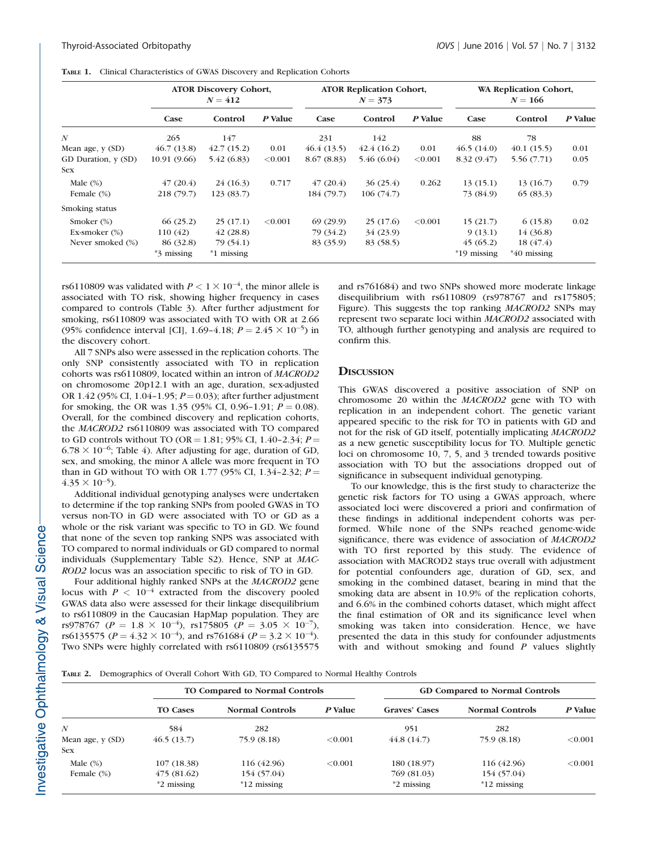|                     |                       | <b>ATOR Discovery Cohort,</b><br>$N = 412$ |         |            | <b>ATOR Replication Cohort,</b><br>$N = 373$ |         |               | WA Replication Cohort,<br>$N = 166$ |         |
|---------------------|-----------------------|--------------------------------------------|---------|------------|----------------------------------------------|---------|---------------|-------------------------------------|---------|
|                     | Case                  | Control                                    | P Value | Case       | Control                                      | P Value | Case          | Control                             | P Value |
| $\boldsymbol{N}$    | 265                   | 147                                        |         | 231        | 142                                          |         | 88            | 78                                  |         |
| Mean age, $y(SD)$   | 46.7(13.8)            | 42.7(15.2)                                 | 0.01    | 46.4(13.5) | 42.4(16.2)                                   | 0.01    | 46.5(14.0)    | 40.1(15.5)                          | 0.01    |
| GD Duration, y (SD) | 10.91 (9.66)          | 5.42(6.83)                                 | < 0.001 | 8.67(8.83) | 5.46(6.04)                                   | < 0.001 | 8.32(9.47)    | 5.56 (7.71)                         | 0.05    |
| <b>Sex</b>          |                       |                                            |         |            |                                              |         |               |                                     |         |
| Male $(\%)$         | 47(20.4)              | 24(16.3)                                   | 0.717   | 47(20.4)   | 36(25.4)                                     | 0.262   | 13(15.1)      | 13(16.7)                            | 0.79    |
| Female (%)          | 218 (79.7)            | 123(83.7)                                  |         | 184 (79.7) | 106(74.7)                                    |         | 73 (84.9)     | 65(83.3)                            |         |
| Smoking status      |                       |                                            |         |            |                                              |         |               |                                     |         |
| Smoker $(\%)$       | 66(25.2)              | 25(17.1)                                   | < 0.001 | 69(29.9)   | 25(17.6)                                     | < 0.001 | 15(21.7)      | 6(15.8)                             | 0.02    |
| Ex-smoker $(\%)$    | 110(42)               | 42(28.8)                                   |         | 79 (34.2)  | 34(23.9)                                     |         | 9(13.1)       | 14 (36.8)                           |         |
| Never smoked (%)    | 86 (32.8)             | 79 (54.1)                                  |         | 83 (35.9)  | 83 (58.5)                                    |         | 45(65.2)      | 18(47.4)                            |         |
|                     | <sup>*3</sup> missing | $*1$ missing                               |         |            |                                              |         | $*19$ missing | $*40$ missing                       |         |

TABLE 1. Clinical Characteristics of GWAS Discovery and Replication Cohorts

rs6110809 was validated with  $P < 1 \times 10^{-4}$ , the minor allele is associated with TO risk, showing higher frequency in cases compared to controls (Table 3). After further adjustment for smoking, rs6110809 was associated with TO with OR at 2.66 (95% confidence interval [CI], 1.69-4.18;  $P = 2.45 \times 10^{-5}$ ) in the discovery cohort.

All 7 SNPs also were assessed in the replication cohorts. The only SNP consistently associated with TO in replication cohorts was rs6110809, located within an intron of MACROD2 on chromosome 20p12.1 with an age, duration, sex-adjusted OR 1.42 (95% CI, 1.04-1.95;  $P = 0.03$ ); after further adjustment for smoking, the OR was 1.35 (95% CI, 0.96-1.91;  $P = 0.08$ ). Overall, for the combined discovery and replication cohorts, the MACROD2 rs6110809 was associated with TO compared to GD controls without TO (OR = 1.81; 95% CI, 1.40-2.34;  $P =$  $6.78 \times 10^{-6}$ ; Table 4). After adjusting for age, duration of GD, sex, and smoking, the minor A allele was more frequent in TO than in GD without TO with OR 1.77 (95% CI, 1.34-2.32;  $P =$  $4.35 \times 10^{-5}$ ).

Additional individual genotyping analyses were undertaken to determine if the top ranking SNPs from pooled GWAS in TO versus non-TO in GD were associated with TO or GD as a whole or the risk variant was specific to TO in GD. We found that none of the seven top ranking SNPS was associated with TO compared to normal individuals or GD compared to normal individuals (Supplementary Table S2). Hence, SNP at MAC-ROD2 locus was an association specific to risk of TO in GD.

Four additional highly ranked SNPs at the MACROD2 gene locus with  $P < 10^{-4}$  extracted from the discovery pooled GWAS data also were assessed for their linkage disequilibrium to rs6110809 in the Caucasian HapMap population. They are rs978767 (P = 1.8  $\times$  10<sup>-4</sup>), rs175805 (P = 3.05  $\times$  10<sup>-7</sup>), rs6135575 ( $P = 4.32 \times 10^{-4}$ ), and rs761684 ( $P = 3.2 \times 10^{-4}$ ). Two SNPs were highly correlated with rs6110809 (rs6135575 and rs761684) and two SNPs showed more moderate linkage disequilibrium with rs6110809 (rs978767 and rs175805; Figure). This suggests the top ranking MACROD2 SNPs may represent two separate loci within MACROD2 associated with TO, although further genotyping and analysis are required to confirm this.

# **DISCUSSION**

This GWAS discovered a positive association of SNP on chromosome 20 within the MACROD2 gene with TO with replication in an independent cohort. The genetic variant appeared specific to the risk for TO in patients with GD and not for the risk of GD itself, potentially implicating MACROD2 as a new genetic susceptibility locus for TO. Multiple genetic loci on chromosome 10, 7, 5, and 3 trended towards positive association with TO but the associations dropped out of significance in subsequent individual genotyping.

To our knowledge, this is the first study to characterize the genetic risk factors for TO using a GWAS approach, where associated loci were discovered a priori and confirmation of these findings in additional independent cohorts was performed. While none of the SNPs reached genome-wide significance, there was evidence of association of MACROD2 with TO first reported by this study. The evidence of association with MACROD2 stays true overall with adjustment for potential confounders age, duration of GD, sex, and smoking in the combined dataset, bearing in mind that the smoking data are absent in 10.9% of the replication cohorts, and 6.6% in the combined cohorts dataset, which might affect the final estimation of OR and its significance level when smoking was taken into consideration. Hence, we have presented the data in this study for confounder adjustments with and without smoking and found  $P$  values slightly

TABLE 2. Demographics of Overall Cohort With GD, TO Compared to Normal Healthy Controls

|                  |                 | TO Compared to Normal Controls |         |                      | <b>GD Compared to Normal Controls</b> |         |
|------------------|-----------------|--------------------------------|---------|----------------------|---------------------------------------|---------|
|                  | <b>TO Cases</b> | <b>Normal Controls</b>         | P Value | <b>Graves' Cases</b> | <b>Normal Controls</b>                | P Value |
| $\boldsymbol{N}$ | 584             | 282                            |         | 951                  | 282                                   |         |
| Mean age, y (SD) | 46.5(13.7)      | 75.9 (8.18)                    | < 0.001 | 44.8(14.7)           | 75.9 (8.18)                           | < 0.001 |
| <b>Sex</b>       |                 |                                |         |                      |                                       |         |
| Male $(\%)$      | 107(18.38)      | 116 (42.96)                    | < 0.001 | 180 (18.97)          | 116 (42.96)                           | < 0.001 |
| Female (%)       | 475(81.62)      | 154 (57.04)                    |         | 769 (81.03)          | 154 (57.04)                           |         |
|                  | $*2$ missing    | $*12$ missing                  |         | *2 missing           | $*12$ missing                         |         |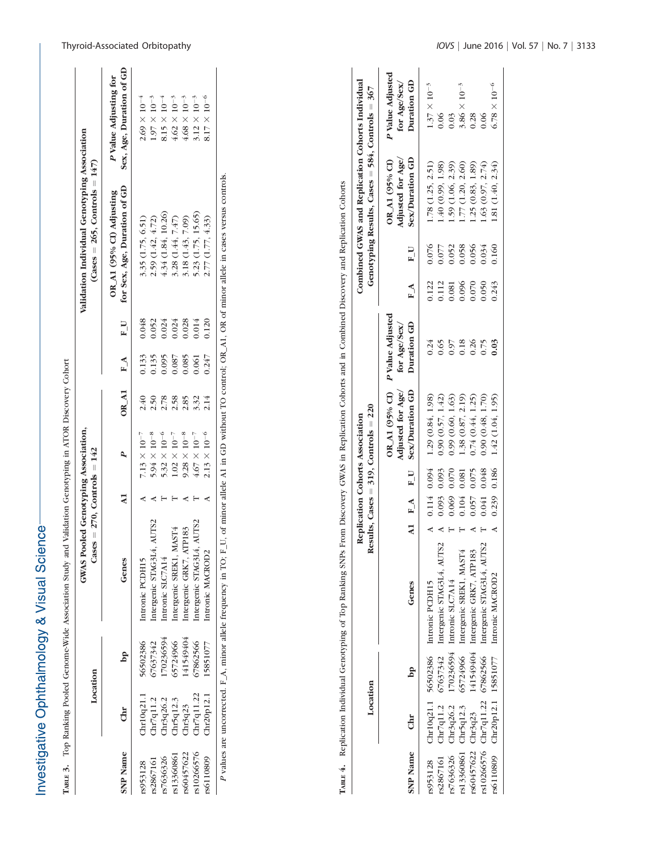| いくとくていい                              |
|--------------------------------------|
| $\frac{1}{2}$                        |
| $\frac{1}{2}$<br>NONO<br>ì<br>j<br>i |
| ここまくきょう<br>١                         |

| ì<br>l                                |
|---------------------------------------|
| $\mathfrak{c}$<br>$\frac{1}{2}$       |
| l                                     |
| $\frac{1}{2}$                         |
|                                       |
|                                       |
|                                       |
| l<br>ţ                                |
|                                       |
| I<br>$\ddot{a}$<br>l<br>ׇ֘֒<br>Į<br>ı |
| $\vdots$<br>į                         |

|                 | Location     |           | GWAS Pooled Genotyping Association,<br>Cases = $270$ , Controls = $142$ |              |                                |      |            |       | Validation Individual Genotyping Association<br>(Cases = 265, Controls = $147$ )                                                                               |                                                   |
|-----------------|--------------|-----------|-------------------------------------------------------------------------|--------------|--------------------------------|------|------------|-------|----------------------------------------------------------------------------------------------------------------------------------------------------------------|---------------------------------------------------|
| <b>SNP Name</b> | Chr          | <b>DD</b> | Genes                                                                   | $\mathbf{A}$ |                                |      | OR $A1$ FA | $F_U$ | for Sex, Age, Duration of GD<br>OR_A1 (95% CI) Adjusting                                                                                                       | Sex, Age, Duration of GD<br>P Value Adjusting for |
| rs953128        | Chr10q21.1   | 56502386  | Intronic PCDH15                                                         |              | $7.13 \times 10^{-7}$          | 2.40 | 0.133      | 0.048 | 3.35 (1.75, 6.51)                                                                                                                                              | $2.69\times10^{-4}$                               |
| rs2867161       | Chr7q11.2    | 67637342  | Intergenic STAG314, AUTS2                                               |              | $5.94 \times 10^{-8}$          | 2.50 | 0.135      | 0.052 | 2.59 (1.42, 4.72)                                                                                                                                              | $1.97 \times 10^{-3}$                             |
| rs7636326       | Chr3q26.2    | 70236594  | Intronic SLC7A14                                                        |              | 5.32 $\times$ 10 <sup>-6</sup> | 2.78 | 0.095      | 0.24  | 4.34 (1.84, 10.26)                                                                                                                                             | $8.15 \times 10^{-4}$                             |
| rs13360861      | Cn r 5q 12.3 | 55724966  | Intergenic SREK1, MAST4                                                 |              | $1.02 \times 10^{-7}$          | 2.58 | 0.087      | 0.024 | 3.28 (1.44, 7.47)                                                                                                                                              | $4.62 \times 10^{-3}$                             |
| rs60457622      | Chr3q23      | 141549404 | Intergenic GRK7, ATP183                                                 |              | $9.28 \times 10^{-8}$          | 2.85 | 0.085      | 0.028 | 3.18 (1.43, 7.09)                                                                                                                                              | $4.68 \times 10^{-3}$                             |
| rs10266576      | Chr7q11.22   | 67862566  | Intergenic STAG3L4, AUTS2                                               |              | $4.67 \times 10^{-7}$          | 3.32 | 0.061      | 0.014 | 5.23 (1.75, 15.65)                                                                                                                                             | $3.12 \times 10^{-3}$                             |
| rs6110809       | Chr20p12.1   | 15851077  | Intronic MACROD2                                                        |              | $2.13 \times 10^{-6}$          | 2.14 | 0.247      | 0.120 | 2.77 (1.77, 4.33)                                                                                                                                              | $8.17 \times 10^{-6}$                             |
|                 |              |           |                                                                         |              |                                |      |            |       | P values are uncorrected. F_A, minor allele frequency in TO; F_U, of minor allele A1 in GD without TO control; OR OR of minor allele in cases versus controls. |                                                   |

TABLE 4. Replication Individual Genotyping of Top Ranking SNPs From Discovery GWAS in Replication Cohorts and in Combined Discovery and Replication Cohorts TABLE 4. Replication Individual Genotyping of Top Ranking SNPs From Discovery GWAS in Replication Cohorts and in Combined Discovery and Replication Cohorts

|                 | Location             |           |                                                          |               |       | esults, Cases = $319$ , Controls = $220$<br>Replication Cohorts Association |                                                                |       |       | Combined GWAS and Replication Cohorts Individual<br>Genotyping Results, Cases = 584, Controls = 367 |                                                 |
|-----------------|----------------------|-----------|----------------------------------------------------------|---------------|-------|-----------------------------------------------------------------------------|----------------------------------------------------------------|-------|-------|-----------------------------------------------------------------------------------------------------|-------------------------------------------------|
| <b>SNP</b> Name | Chr                  | <b>DD</b> | Genes                                                    |               |       | Adjusted for Age/<br>A1 F_A F_U Sex/Duration GD                             | OR_A1 (95% CI) P Value Adjusted<br>Duration GD<br>for Age/Sex/ | $F_A$ | $F_U$ | Sex/Duration GD<br>Adjusted for Age/<br>OR_A1 (95% CI)                                              | P Value Adjusted<br>Duration GD<br>for Age/Sex/ |
| rs953128        |                      |           | Chr10q21.1 56502386 Intronic PCDH15                      | $0.114$ 0.094 |       | 1.29 (0.84, 1.98)                                                           | 0.24                                                           | 0.122 | 0.076 | 1.78 (1.25, 2.51)                                                                                   | $1.37 \times 10^{-3}$                           |
| rs2867161       |                      |           | Chr7q11.2 67637342 Intergenic STAG3L4, AUTS2             | 0.093         | 0.093 | 0.90(0.57, 1.42)                                                            | 0.65                                                           | 0.112 | 0.077 | 1.40 (0.99, 1.98)                                                                                   | 0.06                                            |
| rs7636326       | Chr3q26.2            |           | 170236594 Intronic SLC7A14                               | 0.069         | 0.070 | 0.99(0.60, 1.63)                                                            | 0.97                                                           | 0.081 | 0.052 | 1.59 (1.06, 2.39)                                                                                   | 0.03                                            |
|                 | rs13360861 Chr5q12.3 |           | 65724966 Intergenic SREK1, MAST4                         | 0.104         | 0.081 | 1.38 (0.87, 2.19)                                                           | 0.18                                                           | 0.096 | 0.058 | 1.77 (1.20, 2.60)                                                                                   | $3.86 \times 10^{-3}$                           |
|                 | rs60457622 Chr3q23   |           | 141549404 Intergenic GRK7, ATP183                        | 0.057         | 0.075 | 0.74(0.44, 1.25)                                                            |                                                                | 0.070 |       | 1.25 (0.83, 1.89)                                                                                   | 0.28                                            |
|                 |                      |           | rs10266576 Chr7q11.22 67862566 Intergenic STAG3L4, AUTS2 | 0.041         | 0.048 | 0.90(0.48, 1.70)                                                            | 0.75                                                           | 0.050 | 0.34  | 1.63(0.97, 2.74)                                                                                    | 0.06                                            |
|                 |                      |           | rs6110809 Chr20p12.1 15851077 Intronic MACROD2           | 0.239         | 0.186 | 1.42 (1.04, 1.95)                                                           | 0.03                                                           | 0.243 | 0.160 | .81 (1.40, 2.34)                                                                                    | $6.78 \times 10^{-6}$                           |
|                 |                      |           |                                                          |               |       |                                                                             |                                                                |       |       |                                                                                                     |                                                 |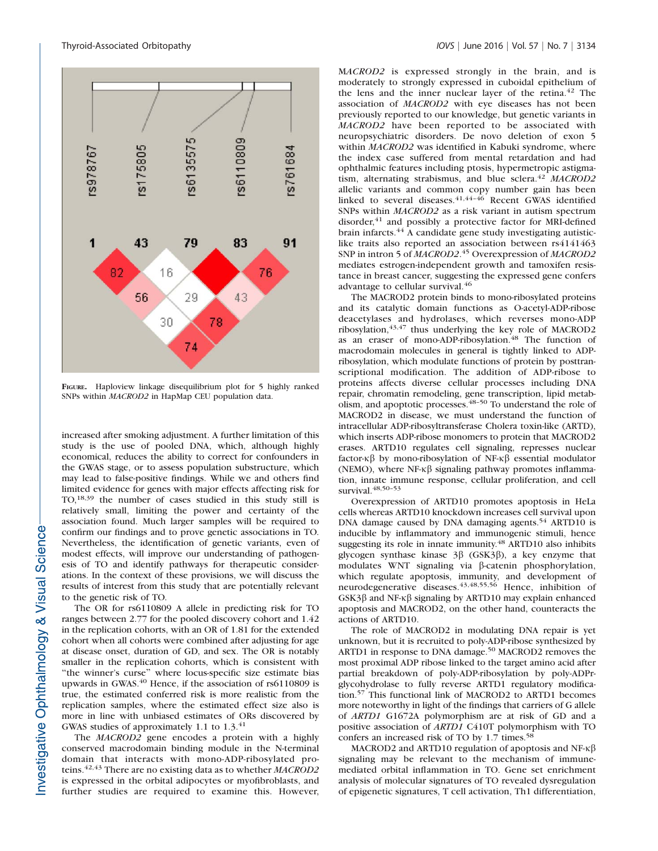

FIGURE. Haploview linkage disequilibrium plot for 5 highly ranked SNPs within MACROD2 in HapMap CEU population data.

increased after smoking adjustment. A further limitation of this study is the use of pooled DNA, which, although highly economical, reduces the ability to correct for confounders in the GWAS stage, or to assess population substructure, which may lead to false-positive findings. While we and others find limited evidence for genes with major effects affecting risk for TO,18,39 the number of cases studied in this study still is relatively small, limiting the power and certainty of the association found. Much larger samples will be required to confirm our findings and to prove genetic associations in TO. Nevertheless, the identification of genetic variants, even of modest effects, will improve our understanding of pathogenesis of TO and identify pathways for therapeutic considerations. In the context of these provisions, we will discuss the results of interest from this study that are potentially relevant to the genetic risk of TO.

The OR for rs6110809 A allele in predicting risk for TO ranges between 2.77 for the pooled discovery cohort and 1.42 in the replication cohorts, with an OR of 1.81 for the extended cohort when all cohorts were combined after adjusting for age at disease onset, duration of GD, and sex. The OR is notably smaller in the replication cohorts, which is consistent with "the winner's curse" where locus-specific size estimate bias upwards in GWAS.<sup>40</sup> Hence, if the association of rs6110809 is true, the estimated conferred risk is more realistic from the replication samples, where the estimated effect size also is more in line with unbiased estimates of ORs discovered by GWAS studies of approximately 1.1 to 1.3.<sup>41</sup>

The MACROD2 gene encodes a protein with a highly conserved macrodomain binding module in the N-terminal domain that interacts with mono-ADP-ribosylated proteins.<sup>42,43</sup> There are no existing data as to whether MACROD2 is expressed in the orbital adipocytes or myofibroblasts, and further studies are required to examine this. However,

MACROD2 is expressed strongly in the brain, and is moderately to strongly expressed in cuboidal epithelium of the lens and the inner nuclear layer of the retina.<sup>42</sup> The association of MACROD2 with eye diseases has not been previously reported to our knowledge, but genetic variants in MACROD2 have been reported to be associated with neuropsychiatric disorders. De novo deletion of exon 5 within MACROD2 was identified in Kabuki syndrome, where the index case suffered from mental retardation and had ophthalmic features including ptosis, hypermetropic astigmatism, alternating strabismus, and blue sclera.<sup>42</sup> MACROD2 allelic variants and common copy number gain has been linked to several diseases.  $41,44-46$  Recent GWAS identified SNPs within MACROD2 as a risk variant in autism spectrum disorder, $41$  and possibly a protective factor for MRI-defined brain infarcts.<sup>44</sup> A candidate gene study investigating autisticlike traits also reported an association between rs4141463 SNP in intron 5 of MACROD2.<sup>45</sup> Overexpression of MACROD2 mediates estrogen-independent growth and tamoxifen resistance in breast cancer, suggesting the expressed gene confers advantage to cellular survival.<sup>46</sup>

The MACROD2 protein binds to mono-ribosylated proteins and its catalytic domain functions as O-acetyl-ADP-ribose deacetylases and hydrolases, which reverses mono-ADP ribosylation, $43,47$  thus underlying the key role of MACROD2 as an eraser of mono-ADP-ribosylation.<sup>48</sup> The function of macrodomain molecules in general is tightly linked to ADPribosylation, which modulate functions of protein by posttranscriptional modification. The addition of ADP-ribose to proteins affects diverse cellular processes including DNA repair, chromatin remodeling, gene transcription, lipid metabolism, and apoptotic processes.48–50 To understand the role of MACROD2 in disease, we must understand the function of intracellular ADP-ribosyltransferase Cholera toxin-like (ARTD), which inserts ADP-ribose monomers to protein that MACROD2 erases. ARTD10 regulates cell signaling, represses nuclear factor- $\kappa\beta$  by mono-ribosylation of NF- $\kappa\beta$  essential modulator (NEMO), where  $NF\kappa\beta$  signaling pathway promotes inflammation, innate immune response, cellular proliferation, and cell survival.  $48,50-53$ 

Overexpression of ARTD10 promotes apoptosis in HeLa cells whereas ARTD10 knockdown increases cell survival upon DNA damage caused by DNA damaging agents.<sup>54</sup> ARTD10 is inducible by inflammatory and immunogenic stimuli, hence suggesting its role in innate immunity.48 ARTD10 also inhibits glycogen synthase kinase  $3\beta$  (GSK3 $\beta$ ), a key enzyme that modulates WNT signaling via  $\beta$ -catenin phosphorylation, which regulate apoptosis, immunity, and development of neurodegenerative diseases.<sup>43,48,55,56</sup> Hence, inhibition of  $GSK3\beta$  and NF- $\kappa\beta$  signaling by ARTD10 may explain enhanced apoptosis and MACROD2, on the other hand, counteracts the actions of ARTD10.

The role of MACROD2 in modulating DNA repair is yet unknown, but it is recruited to poly-ADP-ribose synthesized by ARTD1 in response to DNA damage.<sup>50</sup> MACROD2 removes the most proximal ADP ribose linked to the target amino acid after partial breakdown of poly-ADP-ribosylation by poly-ADPrglycohydrolase to fully reverse ARTD1 regulatory modification.<sup>57</sup> This functional link of MACROD2 to ARTD1 becomes more noteworthy in light of the findings that carriers of G allele of ARTD1 G1672A polymorphism are at risk of GD and a positive association of ARTD1 C410T polymorphism with TO confers an increased risk of TO by 1.7 times.<sup>58</sup>

MACROD2 and ARTD10 regulation of apoptosis and NF- $\kappa\beta$ signaling may be relevant to the mechanism of immunemediated orbital inflammation in TO. Gene set enrichment analysis of molecular signatures of TO revealed dysregulation of epigenetic signatures, T cell activation, Th1 differentiation,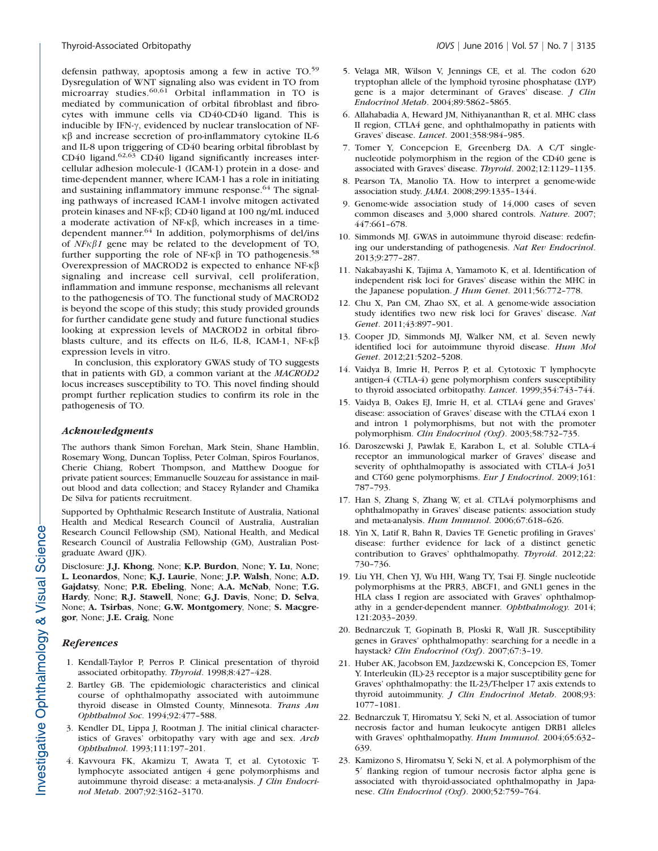defensin pathway, apoptosis among a few in active TO.<sup>59</sup> Dysregulation of WNT signaling also was evident in TO from microarray studies.<sup>60,61</sup> Orbital inflammation in TO is mediated by communication of orbital fibroblast and fibrocytes with immune cells via CD40-CD40 ligand. This is inducible by IFN- $\gamma$ , evidenced by nuclear translocation of NF- $\kappa\beta$  and increase secretion of pro-inflammatory cytokine IL-6 and IL-8 upon triggering of CD40 bearing orbital fibroblast by CD40 ligand.<sup>62,63</sup> CD40 ligand significantly increases intercellular adhesion molecule-1 (ICAM-1) protein in a dose- and time-dependent manner, where ICAM-1 has a role in initiating and sustaining inflammatory immune response.<sup>64</sup> The signaling pathways of increased ICAM-1 involve mitogen activated protein kinases and NF- $\kappa\beta$ ; CD40 ligand at 100 ng/mL induced a moderate activation of NF- $\kappa\beta$ , which increases in a timedependent manner.<sup>64</sup> In addition, polymorphisms of del/ins of  $N F\kappa \beta 1$  gene may be related to the development of TO, further supporting the role of NF- $\kappa\beta$  in TO pathogenesis.<sup>58</sup> Overexpression of MACROD2 is expected to enhance NF- $\kappa\beta$ signaling and increase cell survival, cell proliferation, inflammation and immune response, mechanisms all relevant to the pathogenesis of TO. The functional study of MACROD2 is beyond the scope of this study; this study provided grounds for further candidate gene study and future functional studies looking at expression levels of MACROD2 in orbital fibroblasts culture, and its effects on IL-6, IL-8, ICAM-1, NF- $\kappa\beta$ expression levels in vitro.

In conclusion, this exploratory GWAS study of TO suggests that in patients with GD, a common variant at the MACROD2 locus increases susceptibility to TO. This novel finding should prompt further replication studies to confirm its role in the pathogenesis of TO.

#### Acknowledgments

The authors thank Simon Forehan, Mark Stein, Shane Hamblin, Rosemary Wong, Duncan Topliss, Peter Colman, Spiros Fourlanos, Cherie Chiang, Robert Thompson, and Matthew Doogue for private patient sources; Emmanuelle Souzeau for assistance in mailout blood and data collection; and Stacey Rylander and Chamika De Silva for patients recruitment.

Supported by Ophthalmic Research Institute of Australia, National Health and Medical Research Council of Australia, Australian Research Council Fellowship (SM), National Health, and Medical Research Council of Australia Fellowship (GM), Australian Postgraduate Award (JJK).

Disclosure: J.J. Khong, None; K.P. Burdon, None; Y. Lu, None; L. Leonardos, None; K.J. Laurie, None; J.P. Walsh, None; A.D. Gajdatsy, None; P.R. Ebeling, None; A.A. McNab, None; T.G. Hardy, None; R.J. Stawell, None; G.J. Davis, None; D. Selva, None; A. Tsirbas, None; G.W. Montgomery, None; S. Macgregor, None; J.E. Craig, None

# **References**

- 1. Kendall-Taylor P, Perros P. Clinical presentation of thyroid associated orbitopathy. Thyroid. 1998;8:427–428.
- 2. Bartley GB. The epidemiologic characteristics and clinical course of ophthalmopathy associated with autoimmune thyroid disease in Olmsted County, Minnesota. Trans Am Ophthalmol Soc. 1994;92:477–588.
- 3. Kendler DL, Lippa J, Rootman J. The initial clinical characteristics of Graves' orbitopathy vary with age and sex. Arch Ophthalmol. 1993;111:197–201.
- 4. Kavvoura FK, Akamizu T, Awata T, et al. Cytotoxic Tlymphocyte associated antigen 4 gene polymorphisms and autoimmune thyroid disease: a meta-analysis. J Clin Endocrinol Metab. 2007;92:3162–3170.
- 5. Velaga MR, Wilson V, Jennings CE, et al. The codon 620 tryptophan allele of the lymphoid tyrosine phosphatase (LYP) gene is a major determinant of Graves' disease. J Clin Endocrinol Metab. 2004;89:5862–5865.
- 6. Allahabadia A, Heward JM, Nithiyananthan R, et al. MHC class II region, CTLA4 gene, and ophthalmopathy in patients with Graves' disease. Lancet. 2001;358:984–985.
- 7. Tomer Y, Concepcion E, Greenberg DA. A C/T singlenucleotide polymorphism in the region of the CD40 gene is associated with Graves' disease. Thyroid. 2002;12:1129–1135.
- 8. Pearson TA, Manolio TA. How to interpret a genome-wide association study. JAMA. 2008;299:1335–1344.
- 9. Genome-wide association study of 14,000 cases of seven common diseases and 3,000 shared controls. Nature. 2007; 447:661–678.
- 10. Simmonds MJ. GWAS in autoimmune thyroid disease: redefining our understanding of pathogenesis. Nat Rev Endocrinol. 2013;9:277–287.
- 11. Nakabayashi K, Tajima A, Yamamoto K, et al. Identification of independent risk loci for Graves' disease within the MHC in the Japanese population. J Hum Genet. 2011;56:772–778.
- 12. Chu X, Pan CM, Zhao SX, et al. A genome-wide association study identifies two new risk loci for Graves' disease. Nat Genet. 2011;43:897–901.
- 13. Cooper JD, Simmonds MJ, Walker NM, et al. Seven newly identified loci for autoimmune thyroid disease. Hum Mol Genet. 2012;21:5202–5208.
- 14. Vaidya B, Imrie H, Perros P, et al. Cytotoxic T lymphocyte antigen-4 (CTLA-4) gene polymorphism confers susceptibility to thyroid associated orbitopathy. Lancet. 1999;354:743–744.
- 15. Vaidya B, Oakes EJ, Imrie H, et al. CTLA4 gene and Graves' disease: association of Graves' disease with the CTLA4 exon 1 and intron 1 polymorphisms, but not with the promoter polymorphism. Clin Endocrinol (Oxf). 2003;58:732–735.
- 16. Daroszewski J, Pawlak E, Karabon L, et al. Soluble CTLA-4 receptor an immunological marker of Graves' disease and severity of ophthalmopathy is associated with CTLA-4 Jo31 and CT60 gene polymorphisms. Eur J Endocrinol. 2009;161: 787–793.
- 17. Han S, Zhang S, Zhang W, et al. CTLA4 polymorphisms and ophthalmopathy in Graves' disease patients: association study and meta-analysis. Hum Immunol. 2006;67:618–626.
- 18. Yin X, Latif R, Bahn R, Davies TF. Genetic profiling in Graves' disease: further evidence for lack of a distinct genetic contribution to Graves' ophthalmopathy. Thyroid. 2012;22: 730–736.
- 19. Liu YH, Chen YJ, Wu HH, Wang TY, Tsai FJ. Single nucleotide polymorphisms at the PRR3, ABCF1, and GNL1 genes in the HLA class I region are associated with Graves' ophthalmopathy in a gender-dependent manner. Ophthalmology. 2014; 121:2033–2039.
- 20. Bednarczuk T, Gopinath B, Ploski R, Wall JR. Susceptibility genes in Graves' ophthalmopathy: searching for a needle in a haystack? Clin Endocrinol (Oxf). 2007;67:3-19.
- 21. Huber AK, Jacobson EM, Jazdzewski K, Concepcion ES, Tomer Y. Interleukin (IL)-23 receptor is a major susceptibility gene for Graves' ophthalmopathy: the IL-23/T-helper 17 axis extends to thyroid autoimmunity. J Clin Endocrinol Metab. 2008;93: 1077–1081.
- 22. Bednarczuk T, Hiromatsu Y, Seki N, et al. Association of tumor necrosis factor and human leukocyte antigen DRB1 alleles with Graves' ophthalmopathy. Hum Immunol. 2004;65:632– 639.
- 23. Kamizono S, Hiromatsu Y, Seki N, et al. A polymorphism of the 5<sup>'</sup> flanking region of tumour necrosis factor alpha gene is associated with thyroid-associated ophthalmopathy in Japanese. Clin Endocrinol (Oxf). 2000;52:759–764.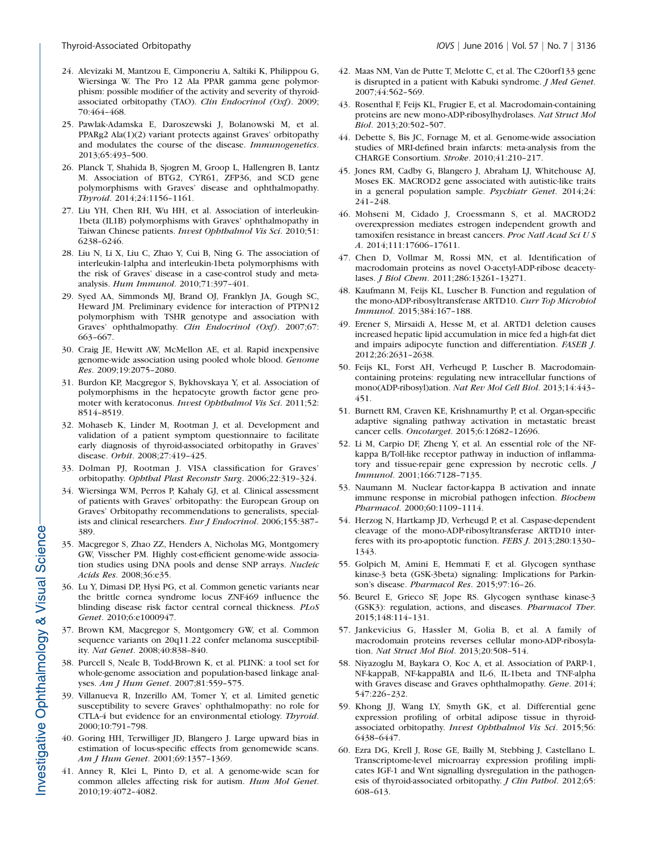- 24. Alevizaki M, Mantzou E, Cimponeriu A, Saltiki K, Philippou G, Wiersinga W. The Pro 12 Ala PPAR gamma gene polymorphism: possible modifier of the activity and severity of thyroidassociated orbitopathy (TAO). Clin Endocrinol (Oxf). 2009; 70:464–468.
- 25. Pawlak-Adamska E, Daroszewski J, Bolanowski M, et al. PPARg2 Ala(1)(2) variant protects against Graves' orbitopathy and modulates the course of the disease. Immunogenetics. 2013;65:493–500.
- 26. Planck T, Shahida B, Sjogren M, Groop L, Hallengren B, Lantz M. Association of BTG2, CYR61, ZFP36, and SCD gene polymorphisms with Graves' disease and ophthalmopathy. Thyroid. 2014;24:1156–1161.
- 27. Liu YH, Chen RH, Wu HH, et al. Association of interleukin-1beta (IL1B) polymorphisms with Graves' ophthalmopathy in Taiwan Chinese patients. Invest Ophthalmol Vis Sci. 2010;51: 6238–6246.
- 28. Liu N, Li X, Liu C, Zhao Y, Cui B, Ning G. The association of interleukin-1alpha and interleukin-1beta polymorphisms with the risk of Graves' disease in a case-control study and metaanalysis. Hum Immunol. 2010;71:397–401.
- 29. Syed AA, Simmonds MJ, Brand OJ, Franklyn JA, Gough SC, Heward JM. Preliminary evidence for interaction of PTPN12 polymorphism with TSHR genotype and association with Graves' ophthalmopathy. Clin Endocrinol (Oxf). 2007;67: 663–667.
- 30. Craig JE, Hewitt AW, McMellon AE, et al. Rapid inexpensive genome-wide association using pooled whole blood. Genome Res. 2009;19:2075–2080.
- 31. Burdon KP, Macgregor S, Bykhovskaya Y, et al. Association of polymorphisms in the hepatocyte growth factor gene promoter with keratoconus. Invest Ophthalmol Vis Sci. 2011;52: 8514–8519.
- 32. Mohaseb K, Linder M, Rootman J, et al. Development and validation of a patient symptom questionnaire to facilitate early diagnosis of thyroid-associated orbitopathy in Graves' disease. Orbit. 2008;27:419–425.
- 33. Dolman PJ, Rootman J. VISA classification for Graves' orbitopathy. Ophthal Plast Reconstr Surg. 2006;22:319–324.
- 34. Wiersinga WM, Perros P, Kahaly GJ, et al. Clinical assessment of patients with Graves' orbitopathy: the European Group on Graves' Orbitopathy recommendations to generalists, specialists and clinical researchers. Eur J Endocrinol. 2006;155:387– 389.
- 35. Macgregor S, Zhao ZZ, Henders A, Nicholas MG, Montgomery GW, Visscher PM. Highly cost-efficient genome-wide association studies using DNA pools and dense SNP arrays. Nucleic Acids Res. 2008;36:e35.
- 36. Lu Y, Dimasi DP, Hysi PG, et al. Common genetic variants near the brittle cornea syndrome locus ZNF469 influence the blinding disease risk factor central corneal thickness. PLoS Genet. 2010;6:e1000947.
- 37. Brown KM, Macgregor S, Montgomery GW, et al. Common sequence variants on 20q11.22 confer melanoma susceptibility. Nat Genet. 2008;40:838–840.
- 38. Purcell S, Neale B, Todd-Brown K, et al. PLINK: a tool set for whole-genome association and population-based linkage analyses. Am J Hum Genet. 2007;81:559–575.
- 39. Villanueva R, Inzerillo AM, Tomer Y, et al. Limited genetic susceptibility to severe Graves' ophthalmopathy: no role for CTLA-4 but evidence for an environmental etiology. Thyroid. 2000;10:791–798.
- 40. Goring HH, Terwilliger JD, Blangero J. Large upward bias in estimation of locus-specific effects from genomewide scans. Am J Hum Genet. 2001;69:1357–1369.
- 41. Anney R, Klei L, Pinto D, et al. A genome-wide scan for common alleles affecting risk for autism. Hum Mol Genet. 2010;19:4072–4082.
- 42. Maas NM, Van de Putte T, Melotte C, et al. The C20orf133 gene is disrupted in a patient with Kabuki syndrome. J Med Genet. 2007;44:562–569.
- 43. Rosenthal F, Feijs KL, Frugier E, et al. Macrodomain-containing proteins are new mono-ADP-ribosylhydrolases. Nat Struct Mol Biol. 2013;20:502–507.
- 44. Debette S, Bis JC, Fornage M, et al. Genome-wide association studies of MRI-defined brain infarcts: meta-analysis from the CHARGE Consortium. Stroke. 2010;41:210–217.
- 45. Jones RM, Cadby G, Blangero J, Abraham LJ, Whitehouse AJ, Moses EK. MACROD2 gene associated with autistic-like traits in a general population sample. Psychiatr Genet. 2014;24: 241–248.
- 46. Mohseni M, Cidado J, Croessmann S, et al. MACROD2 overexpression mediates estrogen independent growth and tamoxifen resistance in breast cancers. Proc Natl Acad Sci U S A. 2014;111:17606–17611.
- 47. Chen D, Vollmar M, Rossi MN, et al. Identification of macrodomain proteins as novel O-acetyl-ADP-ribose deacetylases. J Biol Chem. 2011;286:13261–13271.
- 48. Kaufmann M, Feijs KL, Luscher B. Function and regulation of the mono-ADP-ribosyltransferase ARTD10. Curr Top Microbiol Immunol. 2015;384:167–188.
- 49. Erener S, Mirsaidi A, Hesse M, et al. ARTD1 deletion causes increased hepatic lipid accumulation in mice fed a high-fat diet and impairs adipocyte function and differentiation. FASEB J. 2012;26:2631–2638.
- 50. Feijs KL, Forst AH, Verheugd P, Luscher B. Macrodomaincontaining proteins: regulating new intracellular functions of mono(ADP-ribosyl)ation. Nat Rev Mol Cell Biol. 2013;14:443– 451.
- 51. Burnett RM, Craven KE, Krishnamurthy P, et al. Organ-specific adaptive signaling pathway activation in metastatic breast cancer cells. Oncotarget. 2015;6:12682–12696.
- 52. Li M, Carpio DF, Zheng Y, et al. An essential role of the NFkappa B/Toll-like receptor pathway in induction of inflammatory and tissue-repair gene expression by necrotic cells. J Immunol. 2001;166:7128–7135.
- 53. Naumann M. Nuclear factor-kappa B activation and innate immune response in microbial pathogen infection. Biochem Pharmacol. 2000;60:1109–1114.
- 54. Herzog N, Hartkamp JD, Verheugd P, et al. Caspase-dependent cleavage of the mono-ADP-ribosyltransferase ARTD10 interferes with its pro-apoptotic function. FEBS J. 2013;280:1330– 1343.
- 55. Golpich M, Amini E, Hemmati F, et al. Glycogen synthase kinase-3 beta (GSK-3beta) signaling: Implications for Parkinson's disease. Pharmacol Res. 2015;97:16–26.
- 56. Beurel E, Grieco SF, Jope RS. Glycogen synthase kinase-3 (GSK3): regulation, actions, and diseases. Pharmacol Ther. 2015;148:114–131.
- 57. Jankevicius G, Hassler M, Golia B, et al. A family of macrodomain proteins reverses cellular mono-ADP-ribosylation. Nat Struct Mol Biol. 2013;20:508–514.
- 58. Niyazoglu M, Baykara O, Koc A, et al. Association of PARP-1, NF-kappaB, NF-kappaBIA and IL-6, IL-1beta and TNF-alpha with Graves disease and Graves ophthalmopathy. Gene. 2014; 547:226–232.
- 59. Khong JJ, Wang LY, Smyth GK, et al. Differential gene expression profiling of orbital adipose tissue in thyroidassociated orbitopathy. Invest Ophthalmol Vis Sci. 2015;56: 6438–6447.
- 60. Ezra DG, Krell J, Rose GE, Bailly M, Stebbing J, Castellano L. Transcriptome-level microarray expression profiling implicates IGF-1 and Wnt signalling dysregulation in the pathogenesis of thyroid-associated orbitopathy. J Clin Pathol. 2012;65: 608–613.